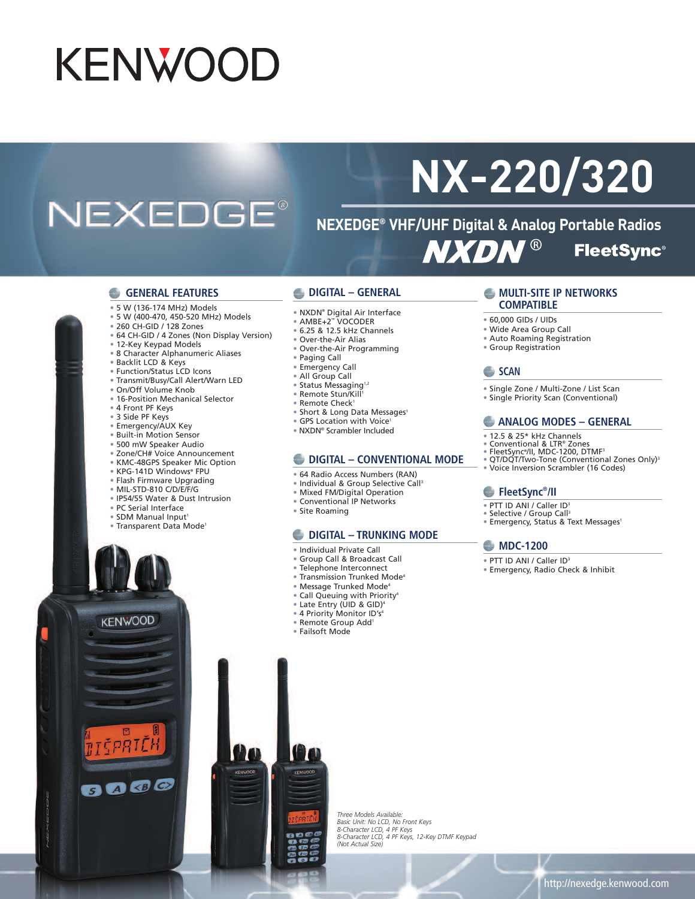## **KENWOOD**

### **NEXEDGE®**

# **NX-220/320**

**NEXEDGE® VHF/UHF Digital & Analog Portable Radios NXDN® FleetSync®** 

#### **GENERAL FEATURES**

- 5 W (136-174 MHz) Models
- 5 W (400-470, 450-520 MHz) Models
- 260 CH-GID / 128 Zones
- 64 CH-GID / 4 Zones (Non Display Version)
- 12-Key Keypad Models
- 8 Character Alphanumeric Aliases
- Backlit LCD & Keys
- Function/Status LCD Icons
- Transmit/Busy/Call Alert/Warn LED
- On/Off Volume Knob
- 16-Position Mechanical Selector
- 4 Front PF Keys
- 3 Side PF Keys
- Emergency/AUX Key
- Built-in Motion Sensor
- 500 mW Speaker Audio
- Zone/CH# Voice Announcement
- KMC-48GPS Speaker Mic Option
- KPG-141D Windows® FPU
- Flash Firmware Upgrading
- MIL-STD-810 C/D/E/F/G
- IP54/55 Water & Dust Intrusion
- PC Serial Interface
- SDM Manual Input1
- Transparent Data Mode1

#### **DIGITAL – GENERAL**

- NXDN® Digital Air Interface
- AMBE+2™ VOCODER
- 6.25 & 12.5 kHz Channels
- Over-the-Air Alias
- Over-the-Air Programming
- Paging Call
- Emergency Call
- All Group Call
- Status Messaging<sup>1,2</sup>
- Remote Stun/Kill 1
- Remote Check<sup>1</sup>
- Short & Long Data Messages<sup>1</sup>
- GPS Location with Voice<sup>1</sup>
- NXDN® Scrambler Included

#### **DIGITAL – CONVENTIONAL MODE**

- 64 Radio Access Numbers (RAN)
- Individual & Group Selective Call<sup>3</sup>
- Mixed FM/Digital Operation
- Conventional IP Networks
- Site Roaming

#### **DIGITAL – TRUNKING MODE**

- Individual Private Call
- Group Call & Broadcast Call
- Telephone Interconnect
- Transmission Trunked Mode4
- Message Trunked Mode4
- Call Queuing with Priority4
- Late Entry (UID & GID) 4
- 4 Priority Monitor ID's4
- Remote Group Add1
- Failsoft Mode

#### **MULTI-SITE IP NETWORKS COMPATIBLE**

- 60,000 GIDs / UIDs
- Wide Area Group Call
- Auto Roaming Registration
- Group Registration

#### **SCAN**

- Single Zone / Multi-Zone / List Scan
- Single Priority Scan (Conventional)

#### **ANALOG MODES – GENERAL**

- 12.5 & 25\* kHz Channels
- 
- 
- ® Conventional & LTR® Zones<br>® FleetSync®/II, MDC-1200, DTMF<sup>3</sup><br>® QT/DQT/Two-Tone (Conventional Zones Only)<sup>3</sup>
- Voice Inversion Scrambler (16 Codes)

#### **FleetSync® /II**

- PTT ID ANI / Caller ID<sup>3</sup>
- 
- Selective / Group Call<sup>3</sup><br>• Emergency, Status & Text Messages<sup>1</sup>

#### **MDC-1200**

- PTT ID ANI / Caller ID<sup>3</sup>
- Emergency, Radio Check & Inhibit

*Three Models Available:* Basic Unit: No LCD, No Front Keys<br>8-Character LCD, 4 PF Keys<br>8-Character LCD, 4 PF Keys, 12-Key DTMF Keypad *(Not Actual Size)*



**KENWOOD** 

EPRTE

8000